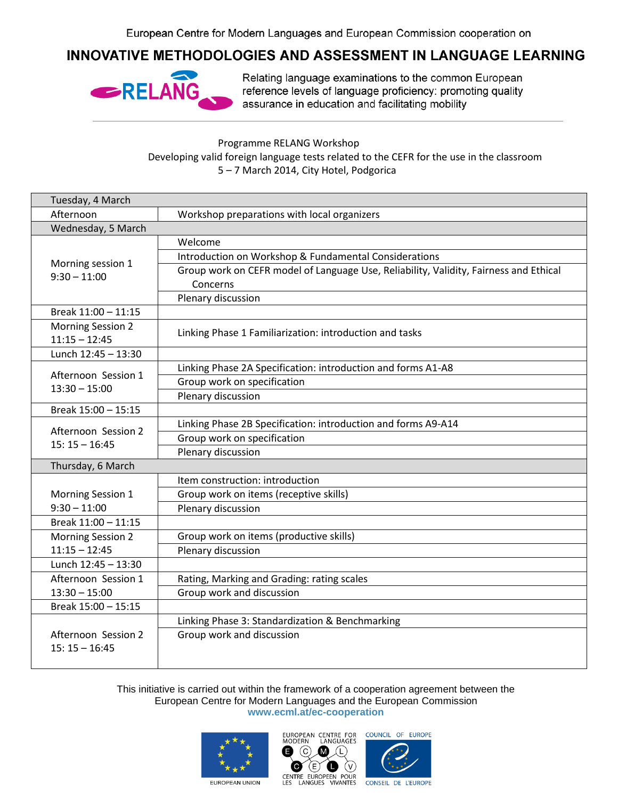## **INNOVATIVE METHODOLOGIES AND ASSESSMENT IN LANGUAGE LEARNING**



Relating language examinations to the common European reference levels of language proficiency: promoting quality assurance in education and facilitating mobility

Programme RELANG Workshop Developing valid foreign language tests related to the CEFR for the use in the classroom 5 – 7 March 2014, City Hotel, Podgorica

| Tuesday, 4 March                       |                                                                                       |  |
|----------------------------------------|---------------------------------------------------------------------------------------|--|
| Afternoon                              | Workshop preparations with local organizers                                           |  |
| Wednesday, 5 March                     |                                                                                       |  |
| Morning session 1<br>$9:30 - 11:00$    | Welcome                                                                               |  |
|                                        | Introduction on Workshop & Fundamental Considerations                                 |  |
|                                        | Group work on CEFR model of Language Use, Reliability, Validity, Fairness and Ethical |  |
|                                        | Concerns                                                                              |  |
|                                        | Plenary discussion                                                                    |  |
| Break 11:00 - 11:15                    |                                                                                       |  |
| <b>Morning Session 2</b>               | Linking Phase 1 Familiarization: introduction and tasks                               |  |
| $11:15 - 12:45$                        |                                                                                       |  |
| Lunch 12:45 - 13:30                    |                                                                                       |  |
| Afternoon Session 1<br>$13:30 - 15:00$ | Linking Phase 2A Specification: introduction and forms A1-A8                          |  |
|                                        | Group work on specification                                                           |  |
|                                        | Plenary discussion                                                                    |  |
| Break 15:00 - 15:15                    |                                                                                       |  |
| Afternoon Session 2<br>$15:15 - 16:45$ | Linking Phase 2B Specification: introduction and forms A9-A14                         |  |
|                                        | Group work on specification                                                           |  |
|                                        | Plenary discussion                                                                    |  |
| Thursday, 6 March                      |                                                                                       |  |
|                                        | Item construction: introduction                                                       |  |
| Morning Session 1<br>$9:30 - 11:00$    | Group work on items (receptive skills)                                                |  |
|                                        | Plenary discussion                                                                    |  |
| Break 11:00 - 11:15                    |                                                                                       |  |
| <b>Morning Session 2</b>               | Group work on items (productive skills)                                               |  |
| $11:15 - 12:45$                        | Plenary discussion                                                                    |  |
| Lunch 12:45 - 13:30                    |                                                                                       |  |
| Afternoon Session 1                    | Rating, Marking and Grading: rating scales                                            |  |
| $13:30 - 15:00$                        | Group work and discussion                                                             |  |
| Break 15:00 - 15:15                    |                                                                                       |  |
| Afternoon Session 2                    | Linking Phase 3: Standardization & Benchmarking                                       |  |
|                                        | Group work and discussion                                                             |  |
| $15:15 - 16:45$                        |                                                                                       |  |
|                                        |                                                                                       |  |

This initiative is carried out within the framework of a cooperation agreement between the European Centre for Modern Languages and the European Commission **www.ecml.at/ec-cooperation**